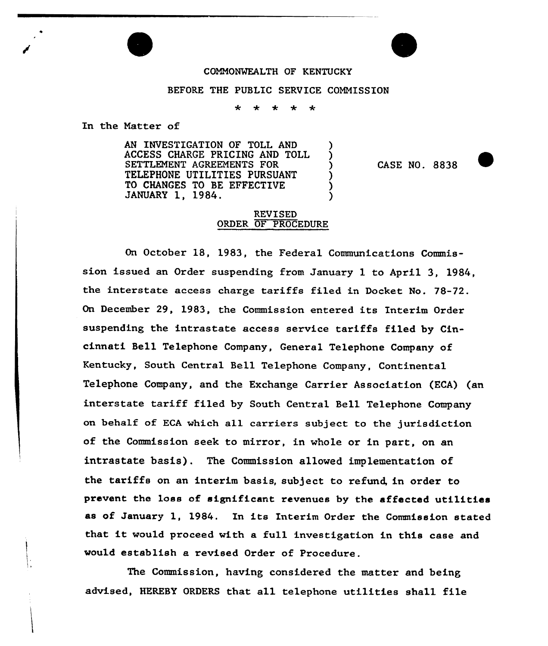## COMMONWEALTH OF KENTUCKY

## BEFORE THE PUBLIC SERVICE COMMISSION

₩  $\star$ 

In the Natter of

AN INVESTIGATION OF TOLL AND ACCESS CHARGE PRICING AND TOLL SETTLEMENT AGREEMENTS FOR TELEPHONE UTILITIES PURSUANT TO CHANGES TO BE EFFECTIVE JANUARY 1, 1984.

CASE NO. 8838

## REVISED ORDER OF PROCEDURE

On October 18, 1983, the Federal Communications Commission issued an Order suspending from January 1 to April 3, 1984, the interstate access charge tariffs filed in Docket No. 78-72. On December 29, 1983, the Commission entered its Interim Order suspending the intrastate access service tariffs filed by Cincinnati Bell Telephone Company, General Telephone Company of Kentucky, South Central Bell Telephone Company, Continental Telephone Company, and the Exchange Carrier Association (ECA) (an interstate tariff filed by South Central Bell Telephone Company on behalf of ECA which all carriers subject to the jurisdiction of the Commission seek to mirror, in whole or in part, on an intrastate basis). The Commission allowed implementation of the tariffs on an interim basis, subject to refund, in order to prevent the loss of significant revenues by the affected utilities as of January 1, 1984. In its Interim Order the Commission stated that it would proceed with <sup>a</sup> full investigation in this case and would establish a revised Order of Procedure.

The Commission, having considered the matter and being advised, HEREBY ORDERS that all telephone utilities shall file